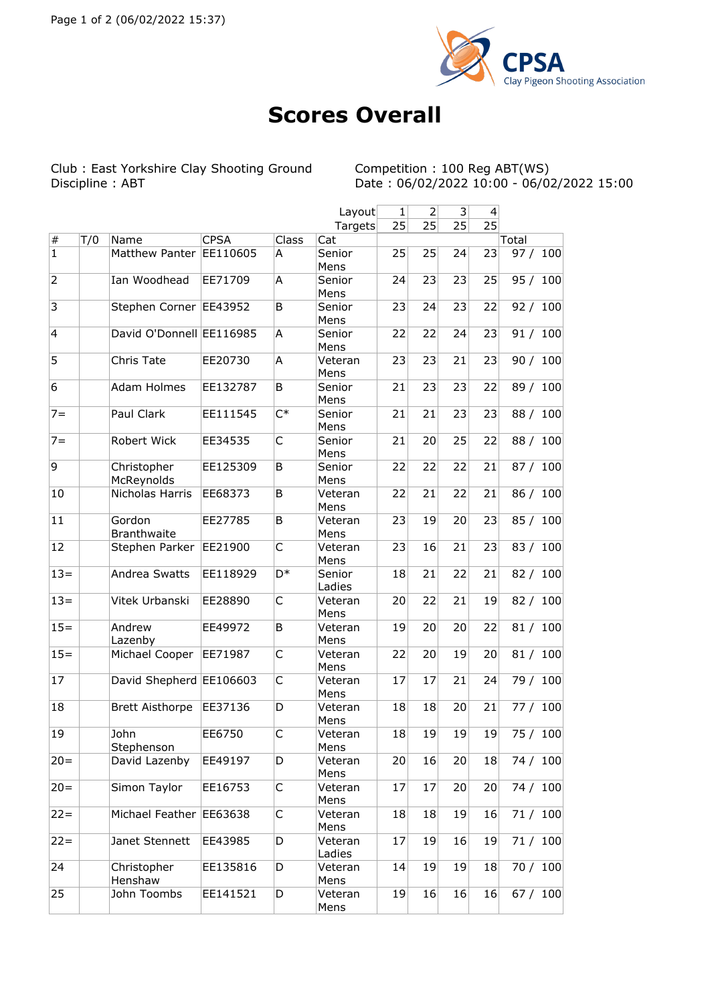

## **Scores Overall**

Club : East Yorkshire Clay Shooting Ground<br>Discipline : ABT

Competition : 100 Reg ABT (WS)<br>Date : 06/02/2022 10:00 - 06/02/2022 15:00

|                 |     |                              |             |                | Layout            | $\mathbf{1}$ | $\overline{2}$ | $\overline{\mathbf{3}}$ | 4               |             |
|-----------------|-----|------------------------------|-------------|----------------|-------------------|--------------|----------------|-------------------------|-----------------|-------------|
|                 |     |                              |             |                | Targets           | 25           | 25             | 25                      | $2\overline{5}$ |             |
| $\vert \#$      | T/0 | Name                         | <b>CPSA</b> | Class          | Cat               |              |                |                         |                 | Total       |
| $\overline{1}$  |     | Matthew Panter EE110605      |             | A              | Senior<br>Mens    | 25           | 25             | 24                      | 23              | 100<br>97/  |
| $\overline{2}$  |     | Ian Woodhead                 | EE71709     | A              | Senior<br>Mens    | 24           | 23             | 23                      | 25              | 95 / 100    |
| 3               |     | Stephen Corner EE43952       |             | B              | Senior<br>Mens    | 23           | 24             | 23                      | 22              | 92 / 100    |
| 4               |     | David O'Donnell EE116985     |             | A              | Senior<br>Mens    | 22           | 22             | 24                      | 23              | 91 / 100    |
| $\overline{5}$  |     | Chris Tate                   | EE20730     | Α              | Veteran<br>Mens   | 23           | 23             | 21                      | 23              | 90 / 100    |
| $6\overline{6}$ |     | Adam Holmes                  | EE132787    | B              | Senior<br>Mens    | 21           | 23             | 23                      | 22              | 89 / 100    |
| $7 =$           |     | Paul Clark                   | EE111545    | $C^*$          | Senior<br>Mens    | 21           | 21             | 23                      | 23              | 88 / 100    |
| $7 =$           |     | Robert Wick                  | EE34535     | C              | Senior<br>Mens    | 21           | 20             | 25                      | 22              | 88 /<br>100 |
| 9               |     | Christopher<br>McReynolds    | EE125309    | B              | Senior<br>Mens    | 22           | 22             | 22                      | 21              | 87 / 100    |
| 10              |     | Nicholas Harris              | EE68373     | B              | Veteran<br>Mens   | 22           | 21             | 22                      | 21              | 86 / 100    |
| 11              |     | Gordon<br><b>Branthwaite</b> | EE27785     | B              | Veteran<br>Mens   | 23           | 19             | 20                      | 23              | 85 / 100    |
| 12              |     | Stephen Parker               | EE21900     | C              | Veteran<br>Mens   | 23           | 16             | 21                      | 23              | 83 / 100    |
| $13=$           |     | Andrea Swatts                | EE118929    | D <sup>*</sup> | Senior<br>Ladies  | 18           | 21             | 22                      | 21              | 82 / 100    |
| $13=$           |     | Vitek Urbanski               | EE28890     | C              | Veteran<br>Mens   | 20           | 22             | 21                      | 19              | 82 / 100    |
| $\overline{15}$ |     | Andrew<br>Lazenby            | EE49972     | B              | Veteran<br>Mens   | 19           | 20             | 20                      | 22              | 81 / 100    |
| $15=$           |     | Michael Cooper               | EE71987     | C              | Veteran<br>Mens   | 22           | 20             | 19                      | 20              | 100<br>81/  |
| 17              |     | David Shepherd EE106603      |             | C              | Veteran<br>Mens   | 17           | 17             | 21                      | 24              | 79 / 100    |
| 18              |     | <b>Brett Aisthorpe</b>       | EE37136     | D              | Veteran<br>Mens   | 18           | 18             | 20                      | 21              | 77 / 100    |
| 19              |     | John<br>Stephenson           | EE6750      | C              | Veteran<br>Mens   | 18           | 19             | 19                      | 19              | 75 / 100    |
| $ 20=$          |     | David Lazenby                | EE49197     | D              | Veteran<br>Mens   | 20           | 16             | 20                      | 18              | 74 / 100    |
| $ 20=$          |     | Simon Taylor                 | EE16753     | C              | Veteran<br>Mens   | 17           | 17             | 20                      | 20              | 74 / 100    |
| $22 =$          |     | Michael Feather EE63638      |             | C              | Veteran<br>Mens   | 18           | 18             | 19                      | 16              | 71/100      |
| $22 =$          |     | Janet Stennett               | EE43985     | D              | Veteran<br>Ladies | 17           | 19             | 16                      | 19              | 71/100      |
| 24              |     | Christopher<br>Henshaw       | EE135816    | D              | Veteran<br>Mens   | 14           | 19             | 19                      | 18              | 70 / 100    |
| 25              |     | John Toombs                  | EE141521    | D              | Veteran<br>Mens   | 19           | 16             | 16                      | 16              | 67 / 100    |